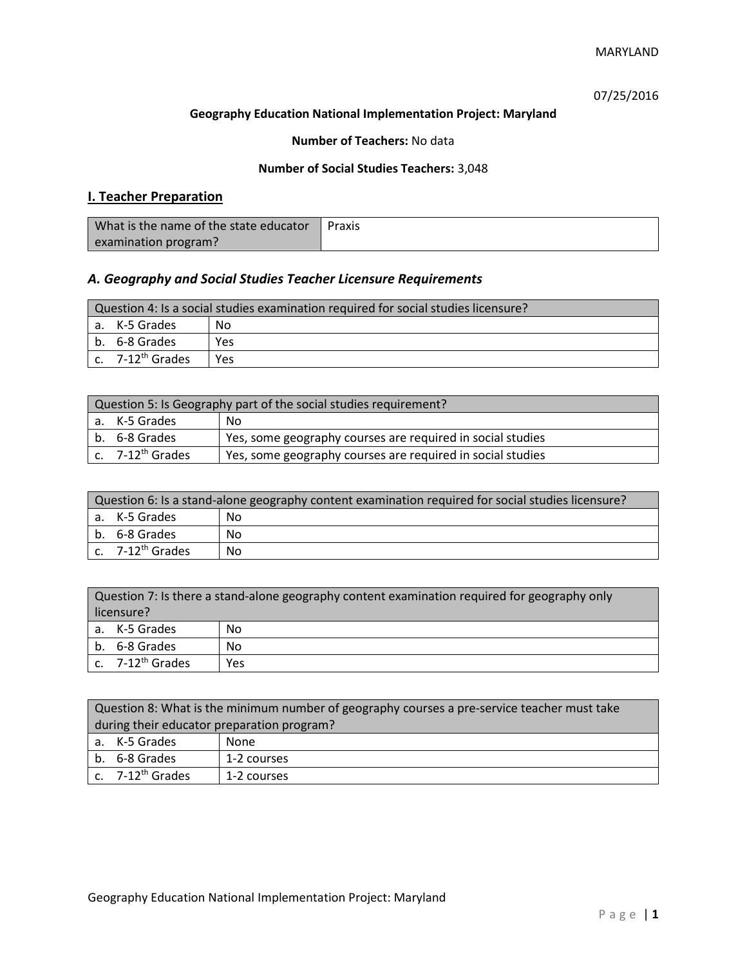07/25/2016

### **Geography Education National Implementation Project: Maryland**

## **Number of Teachers:** No data

### **Number of Social Studies Teachers:** 3,048

# **I. Teacher Preparation**

| What is the name of the state educator | Praxis |
|----------------------------------------|--------|
| examination program?                   |        |

# *A. Geography and Social Studies Teacher Licensure Requirements*

| Question 4: Is a social studies examination required for social studies licensure? |     |  |
|------------------------------------------------------------------------------------|-----|--|
| a. K-5 Grades<br>No.                                                               |     |  |
| b. 6-8 Grades                                                                      | Yes |  |
| c. $7-12^{th}$ Grades                                                              | Yes |  |

| Question 5: Is Geography part of the social studies requirement? |                                                            |  |
|------------------------------------------------------------------|------------------------------------------------------------|--|
| a. K-5 Grades<br>No.                                             |                                                            |  |
| b. 6-8 Grades                                                    | Yes, some geography courses are required in social studies |  |
| c. 7-12 <sup>th</sup> Grades                                     | Yes, some geography courses are required in social studies |  |

| Question 6: Is a stand-alone geography content examination required for social studies licensure? |    |  |
|---------------------------------------------------------------------------------------------------|----|--|
| a. K-5 Grades<br>No                                                                               |    |  |
| b. 6-8 Grades                                                                                     | No |  |
| c. $7-12^{th}$ Grades                                                                             | No |  |

| Question 7: Is there a stand-alone geography content examination required for geography only<br>licensure? |     |  |
|------------------------------------------------------------------------------------------------------------|-----|--|
| a. K-5 Grades                                                                                              | No  |  |
| b. 6-8 Grades                                                                                              | No  |  |
| c. 7-12 <sup>th</sup> Grades                                                                               | Yes |  |

|                                            | Question 8: What is the minimum number of geography courses a pre-service teacher must take |  |  |  |
|--------------------------------------------|---------------------------------------------------------------------------------------------|--|--|--|
| during their educator preparation program? |                                                                                             |  |  |  |
|                                            | a. K-5 Grades<br>None                                                                       |  |  |  |
|                                            | b. 6-8 Grades<br>1-2 courses                                                                |  |  |  |
|                                            | c. $7-12^{th}$ Grades<br>1-2 courses                                                        |  |  |  |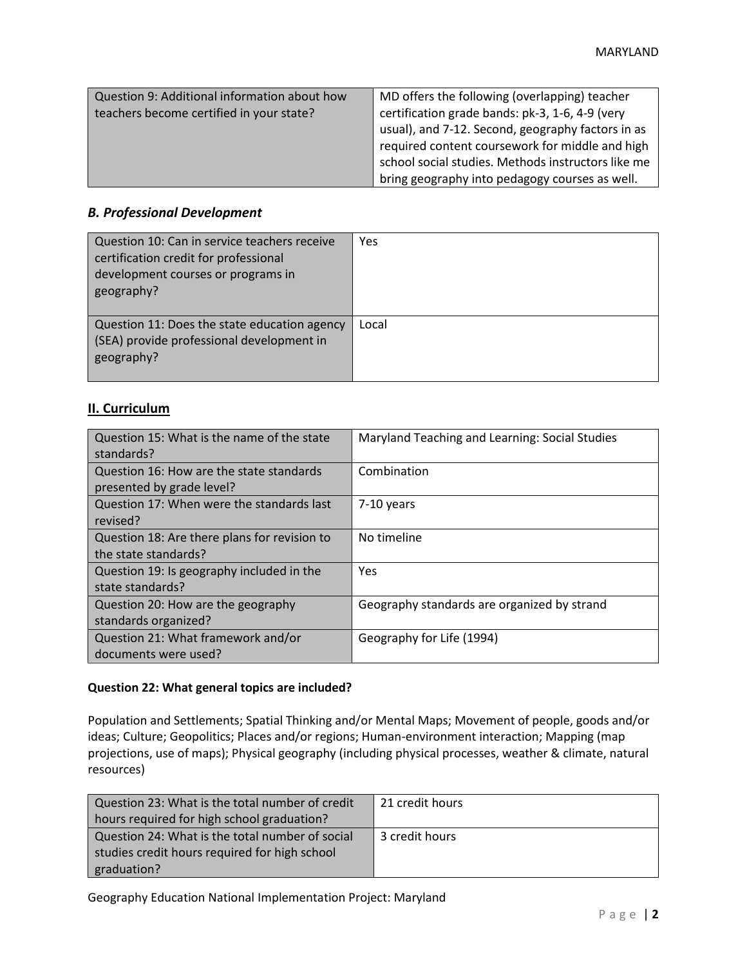| Question 9: Additional information about how<br>teachers become certified in your state? | MD offers the following (overlapping) teacher<br>certification grade bands: pk-3, 1-6, 4-9 (very<br>usual), and 7-12. Second, geography factors in as<br>required content coursework for middle and high<br>school social studies. Methods instructors like me |
|------------------------------------------------------------------------------------------|----------------------------------------------------------------------------------------------------------------------------------------------------------------------------------------------------------------------------------------------------------------|
|                                                                                          | bring geography into pedagogy courses as well.                                                                                                                                                                                                                 |

### *B. Professional Development*

| Question 10: Can in service teachers receive<br>certification credit for professional<br>development courses or programs in<br>geography? | Yes   |
|-------------------------------------------------------------------------------------------------------------------------------------------|-------|
| Question 11: Does the state education agency<br>(SEA) provide professional development in<br>geography?                                   | Local |

## **II. Curriculum**

| Question 15: What is the name of the state<br>standards?              | Maryland Teaching and Learning: Social Studies |
|-----------------------------------------------------------------------|------------------------------------------------|
| Question 16: How are the state standards<br>presented by grade level? | Combination                                    |
| Question 17: When were the standards last<br>revised?                 | 7-10 years                                     |
| Question 18: Are there plans for revision to<br>the state standards?  | No timeline                                    |
| Question 19: Is geography included in the<br>state standards?         | Yes                                            |
| Question 20: How are the geography<br>standards organized?            | Geography standards are organized by strand    |
| Question 21: What framework and/or<br>documents were used?            | Geography for Life (1994)                      |

#### **Question 22: What general topics are included?**

Population and Settlements; Spatial Thinking and/or Mental Maps; Movement of people, goods and/or ideas; Culture; Geopolitics; Places and/or regions; Human-environment interaction; Mapping (map projections, use of maps); Physical geography (including physical processes, weather & climate, natural resources)

| Question 23: What is the total number of credit | 21 credit hours |
|-------------------------------------------------|-----------------|
| hours required for high school graduation?      |                 |
| Question 24: What is the total number of social | 3 credit hours  |
| studies credit hours required for high school   |                 |
| graduation?                                     |                 |